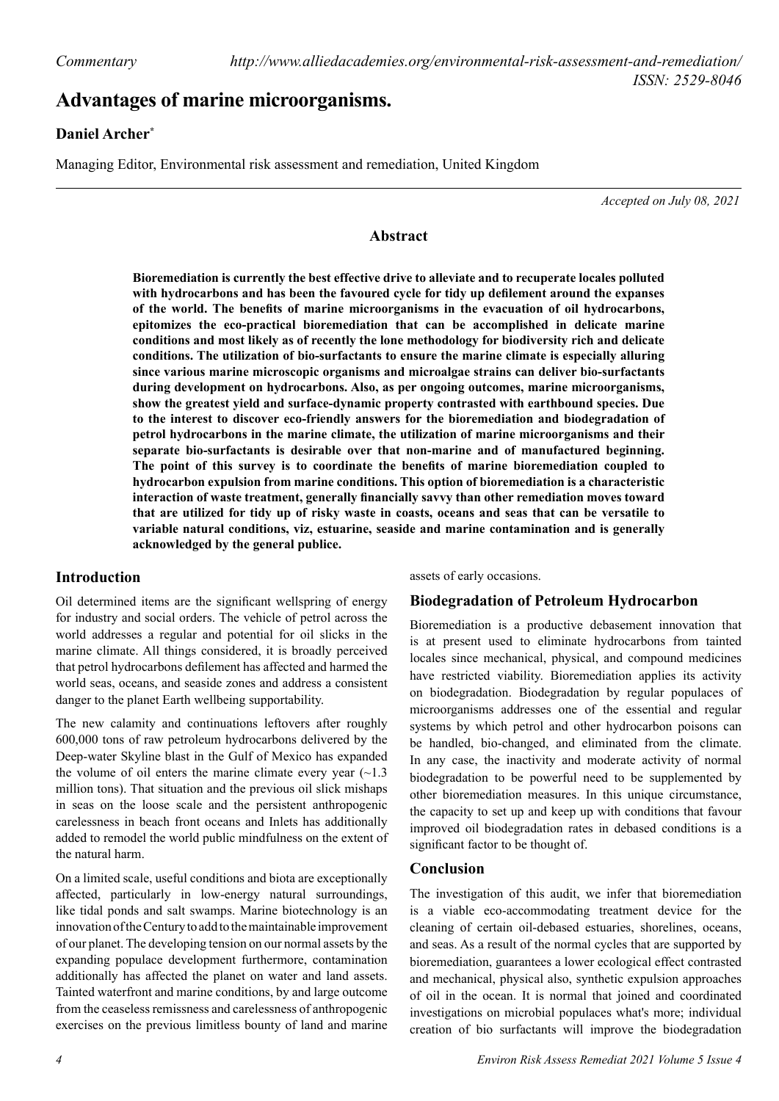# **Advantages of marine microorganisms.**

## **Daniel Archer\***

Managing Editor, Environmental risk assessment and remediation, United Kingdom

*Accepted on July 08, 2021*

#### **Abstract**

**Bioremediation is currently the best effective drive to alleviate and to recuperate locales polluted with hydrocarbons and has been the favoured cycle for tidy up defilement around the expanses of the world. The benefits of marine microorganisms in the evacuation of oil hydrocarbons, epitomizes the eco-practical bioremediation that can be accomplished in delicate marine conditions and most likely as of recently the lone methodology for biodiversity rich and delicate conditions. The utilization of bio-surfactants to ensure the marine climate is especially alluring since various marine microscopic organisms and microalgae strains can deliver bio-surfactants during development on hydrocarbons. Also, as per ongoing outcomes, marine microorganisms, show the greatest yield and surface-dynamic property contrasted with earthbound species. Due to the interest to discover eco-friendly answers for the bioremediation and biodegradation of petrol hydrocarbons in the marine climate, the utilization of marine microorganisms and their separate bio-surfactants is desirable over that non-marine and of manufactured beginning. The point of this survey is to coordinate the benefits of marine bioremediation coupled to hydrocarbon expulsion from marine conditions. This option of bioremediation is a characteristic interaction of waste treatment, generally financially savvy than other remediation moves toward that are utilized for tidy up of risky waste in coasts, oceans and seas that can be versatile to variable natural conditions, viz, estuarine, seaside and marine contamination and is generally acknowledged by the general publice.**

### **Introduction**

Oil determined items are the significant wellspring of energy for industry and social orders. The vehicle of petrol across the world addresses a regular and potential for oil slicks in the marine climate. All things considered, it is broadly perceived that petrol hydrocarbons defilement has affected and harmed the world seas, oceans, and seaside zones and address a consistent danger to the planet Earth wellbeing supportability.

The new calamity and continuations leftovers after roughly 600,000 tons of raw petroleum hydrocarbons delivered by the Deep-water Skyline blast in the Gulf of Mexico has expanded the volume of oil enters the marine climate every year  $(\sim 1.3)$ million tons). That situation and the previous oil slick mishaps in seas on the loose scale and the persistent anthropogenic carelessness in beach front oceans and Inlets has additionally added to remodel the world public mindfulness on the extent of the natural harm.

On a limited scale, useful conditions and biota are exceptionally affected, particularly in low-energy natural surroundings, like tidal ponds and salt swamps. Marine biotechnology is an innovation of the Century to add to the maintainable improvement of our planet. The developing tension on our normal assets by the expanding populace development furthermore, contamination additionally has affected the planet on water and land assets. Tainted waterfront and marine conditions, by and large outcome from the ceaseless remissness and carelessness of anthropogenic exercises on the previous limitless bounty of land and marine assets of early occasions.

### **Biodegradation of Petroleum Hydrocarbon**

Bioremediation is a productive debasement innovation that is at present used to eliminate hydrocarbons from tainted locales since mechanical, physical, and compound medicines have restricted viability. Bioremediation applies its activity on biodegradation. Biodegradation by regular populaces of microorganisms addresses one of the essential and regular systems by which petrol and other hydrocarbon poisons can be handled, bio-changed, and eliminated from the climate. In any case, the inactivity and moderate activity of normal biodegradation to be powerful need to be supplemented by other bioremediation measures. In this unique circumstance, the capacity to set up and keep up with conditions that favour improved oil biodegradation rates in debased conditions is a significant factor to be thought of.

#### **Conclusion**

The investigation of this audit, we infer that bioremediation is a viable eco-accommodating treatment device for the cleaning of certain oil-debased estuaries, shorelines, oceans, and seas. As a result of the normal cycles that are supported by bioremediation, guarantees a lower ecological effect contrasted and mechanical, physical also, synthetic expulsion approaches of oil in the ocean. It is normal that joined and coordinated investigations on microbial populaces what's more; individual creation of bio surfactants will improve the biodegradation